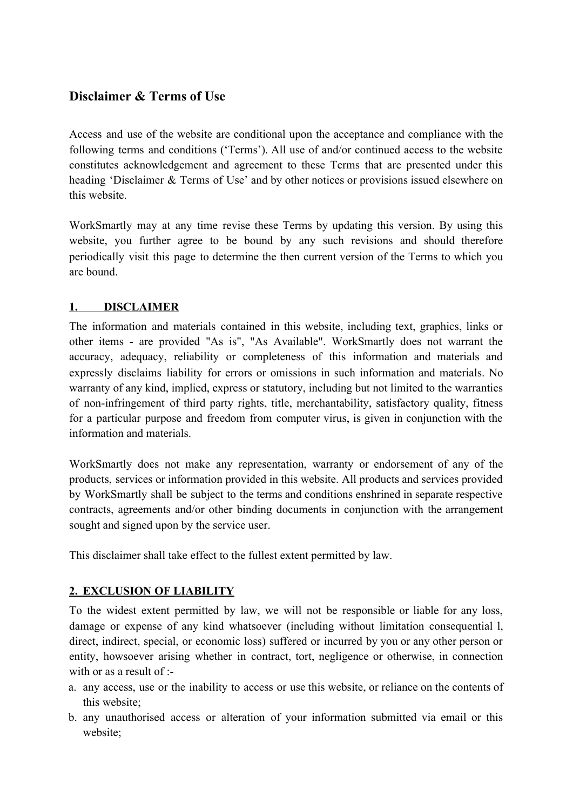# **Disclaimer & Terms of Use**

Access and use of the website are conditional upon the acceptance and compliance with the following terms and conditions ('Terms'). All use of and/or continued access to the website constitutes acknowledgement and agreement to these Terms that are presented under this heading 'Disclaimer & Terms of Use' and by other notices or provisions issued elsewhere on this website.

WorkSmartly may at any time revise these Terms by updating this version. By using this website, you further agree to be bound by any such revisions and should therefore periodically visit this page to determine the then current version of the Terms to which you are bound.

## **1. DISCLAIMER**

The information and materials contained in this website, including text, graphics, links or other items - are provided "As is", "As Available". WorkSmartly does not warrant the accuracy, adequacy, reliability or completeness of this information and materials and expressly disclaims liability for errors or omissions in such information and materials. No warranty of any kind, implied, express or statutory, including but not limited to the warranties of non-infringement of third party rights, title, merchantability, satisfactory quality, fitness for a particular purpose and freedom from computer virus, is given in conjunction with the information and materials.

WorkSmartly does not make any representation, warranty or endorsement of any of the products, services or information provided in this website. All products and services provided by WorkSmartly shall be subject to the terms and conditions enshrined in separate respective contracts, agreements and/or other binding documents in conjunction with the arrangement sought and signed upon by the service user.

This disclaimer shall take effect to the fullest extent permitted by law.

## **2. EXCLUSION OF LIABILITY**

To the widest extent permitted by law, we will not be responsible or liable for any loss, damage or expense of any kind whatsoever (including without limitation consequential l, direct, indirect, special, or economic loss) suffered or incurred by you or any other person or entity, howsoever arising whether in contract, tort, negligence or otherwise, in connection with or as a result of :-

- a. any access, use or the inability to access or use this website, or reliance on the contents of this website;
- b. any unauthorised access or alteration of your information submitted via email or this website;